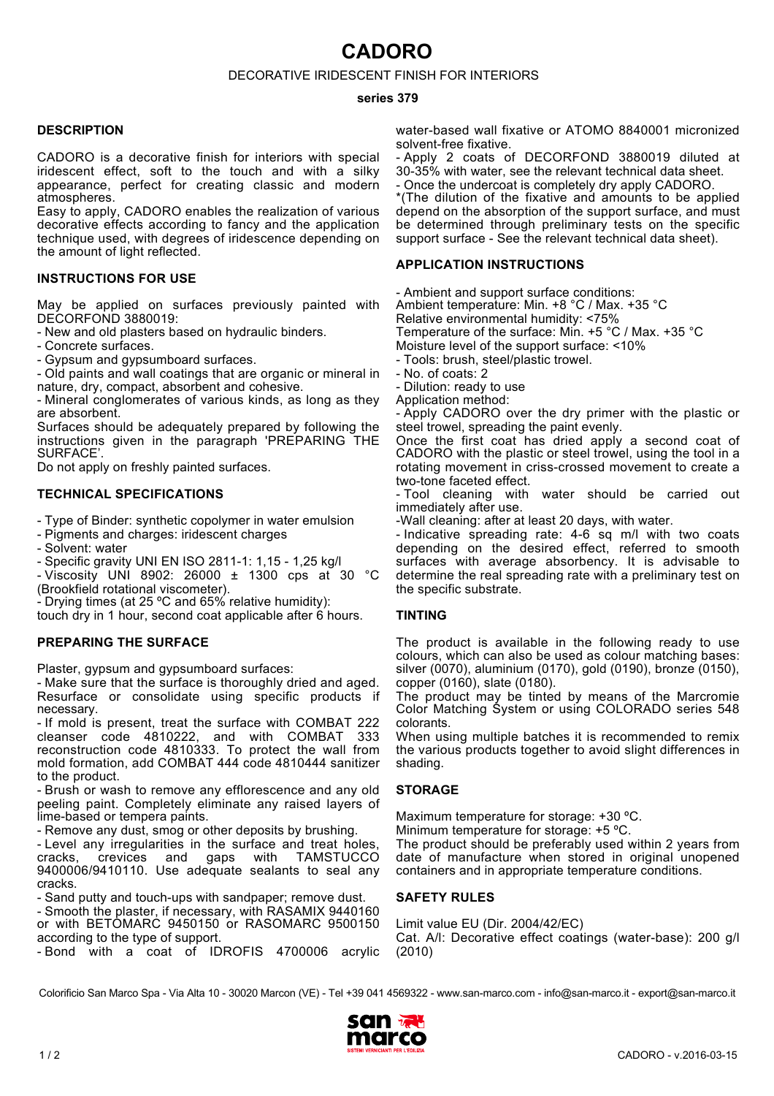# **CADORO**

#### DECORATIVE IRIDESCENT FINISH FOR INTERIORS

#### **series 379**

## **DESCRIPTION**

CADORO is a decorative finish for interiors with special iridescent effect, soft to the touch and with a silky appearance, perfect for creating classic and modern atmospheres.

Easy to apply, CADORO enables the realization of various decorative effects according to fancy and the application technique used, with degrees of iridescence depending on the amount of light reflected.

## **INSTRUCTIONS FOR USE**

May be applied on surfaces previously painted with DECORFOND 3880019:

- New and old plasters based on hydraulic binders.

- Concrete surfaces.

- Gypsum and gypsumboard surfaces.

- Old paints and wall coatings that are organic or mineral in nature, dry, compact, absorbent and cohesive.

- Mineral conglomerates of various kinds, as long as they are absorbent.

Surfaces should be adequately prepared by following the instructions given in the paragraph 'PREPARING THE SURFACE'.

Do not apply on freshly painted surfaces.

## **TECHNICAL SPECIFICATIONS**

- Type of Binder: synthetic copolymer in water emulsion

- Pigments and charges: iridescent charges
- Solvent: water

- Specific gravity UNI EN ISO 2811-1: 1,15 - 1,25 kg/l

- Viscosity UNI 8902: 26000 ± 1300 cps at 30 °C (Brookfield rotational viscometer).

- Drying times (at 25  $\degree$ C and 65% relative humidity):

touch dry in 1 hour, second coat applicable after 6 hours.

## **PREPARING THE SURFACE**

Plaster, gypsum and gypsumboard surfaces:

- Make sure that the surface is thoroughly dried and aged. Resurface or consolidate using specific products if necessary.

- If mold is present, treat the surface with COMBAT 222 cleanser code 4810222 and with COMBAT 333 cleanser code 4810222, and with COMBAT reconstruction code 4810333. To protect the wall from mold formation, add COMBAT 444 code 4810444 sanitizer to the product.

- Brush or wash to remove any efflorescence and any old peeling paint. Completely eliminate any raised layers of lime-based or tempera paints.

- Remove any dust, smog or other deposits by brushing.

- Level any irregularities in the surface and treat holes, cracks, crevices and gaps with TAMSTUCCO 9400006/9410110. Use adequate sealants to seal any cracks.

- Sand putty and touch-ups with sandpaper; remove dust.

- Smooth the plaster, if necessary, with RASAMIX 9440160 or with BETOMARC 9450150 or RASOMARC 9500150 according to the type of support.

- Bond with a coat of IDROFIS 4700006 acrylic

water-based wall fixative or ATOMO 8840001 micronized solvent-free fixative.

- Apply 2 coats of DECORFOND 3880019 diluted at 30-35% with water, see the relevant technical data sheet.

- Once the undercoat is completely dry apply CADORO. \*(The dilution of the fixative and amounts to be applied depend on the absorption of the support surface, and must be determined through preliminary tests on the specific support surface - See the relevant technical data sheet).

## **APPLICATION INSTRUCTIONS**

- Ambient and support surface conditions:

Ambient temperature: Min. +8 °C / Max. +35 °C

Relative environmental humidity: <75%

Temperature of the surface: Min. +5 °C / Max. +35 °C

Moisture level of the support surface: <10%

- Tools: brush, steel/plastic trowel.

- No. of coats: 2

- Dilution: ready to use

Application method:

- Apply CADORO over the dry primer with the plastic or steel trowel, spreading the paint evenly.

Once the first coat has dried apply a second coat of CADORO with the plastic or steel trowel, using the tool in a rotating movement in criss-crossed movement to create a two-tone faceted effect.

- Tool cleaning with water should be carried out immediately after use.

-Wall cleaning: after at least 20 days, with water.

- Indicative spreading rate: 4-6 sq m/l with two coats depending on the desired effect, referred to smooth surfaces with average absorbency. It is advisable to determine the real spreading rate with a preliminary test on the specific substrate.

## **TINTING**

The product is available in the following ready to use colours, which can also be used as colour matching bases: silver (0070), aluminium (0170), gold (0190), bronze (0150), copper (0160), slate (0180).

The product may be tinted by means of the Marcromie Color Matching System or using COLORADO series 548 colorants.

When using multiple batches it is recommended to remix the various products together to avoid slight differences in shading.

# **STORAGE**

Maximum temperature for storage: +30 ºC.

Minimum temperature for storage: +5 ºC.

The product should be preferably used within 2 years from date of manufacture when stored in original unopened containers and in appropriate temperature conditions.

## **SAFETY RULES**

Limit value EU (Dir. 2004/42/EC) Cat. A/l: Decorative effect coatings (water-base): 200 g/l (2010)